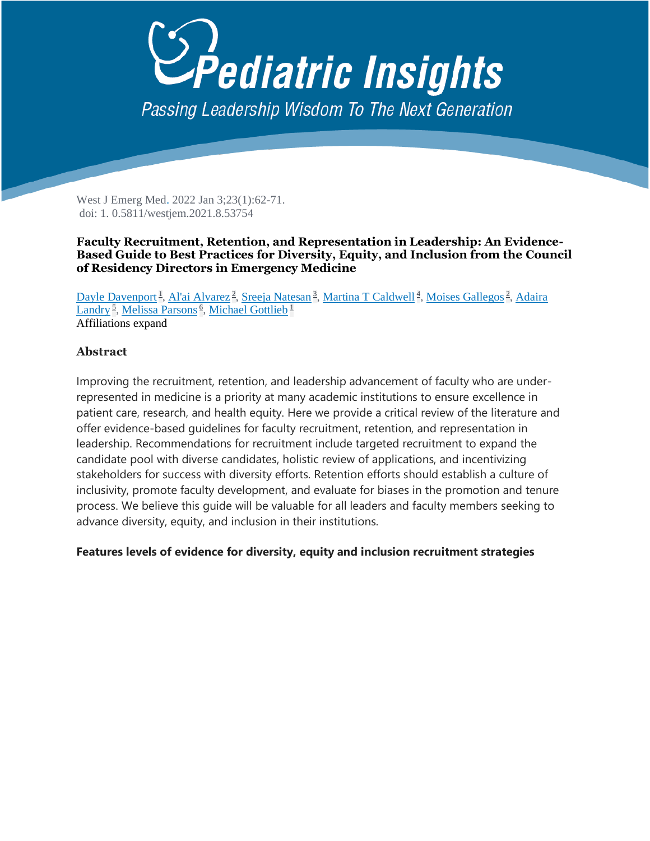## *<u>Pediatric Insights</u>* Passing Leadership Wisdom To The Next Generation

West J Emerg Med. 2022 Jan 3;23(1):62-71. doi: 1. 0.5811/westjem.2021.8.53754

## **Faculty Recruitment, Retention, and Representation in Leadership: An Evidence-Based Guide to Best Practices for Diversity, Equity, and Inclusion from the Council of Residency Directors in Emergency Medicine**

[Dayle Davenport](https://pubmed.ncbi.nlm.nih.gov/?term=Davenport+D&cauthor_id=35060865)<sup>[1](https://pubmed.ncbi.nlm.nih.gov/35060865/#affiliation-1)</sup>, [Al'ai Alvarez](https://pubmed.ncbi.nlm.nih.gov/?term=Alvarez+A&cauthor_id=35060865)<sup>[2](https://pubmed.ncbi.nlm.nih.gov/35060865/#affiliation-2)</sup>, [Sreeja Natesan](https://pubmed.ncbi.nlm.nih.gov/?term=Natesan+S&cauthor_id=35060865)<sup>3</sup>[,](https://pubmed.ncbi.nlm.nih.gov/35060865/#affiliation-3) [Martina T Caldwell](https://pubmed.ncbi.nlm.nih.gov/?term=Caldwell+MT&cauthor_id=35060865)<sup>[4](https://pubmed.ncbi.nlm.nih.gov/35060865/#affiliation-4)</sup>, [Moises Gallegos](https://pubmed.ncbi.nlm.nih.gov/?term=Gallegos+M&cauthor_id=35060865)<sup>2</sup>, Adaira [Landry](https://pubmed.ncbi.nlm.nih.gov/?term=Landry+A&cauthor_id=35060865)<sup>[5](https://pubmed.ncbi.nlm.nih.gov/35060865/#affiliation-5)</sup>, [Melissa Parsons](https://pubmed.ncbi.nlm.nih.gov/?term=Parsons+M&cauthor_id=35060865)<sup>[6](https://pubmed.ncbi.nlm.nih.gov/35060865/#affiliation-6)</sup>, [Michael Gottlieb](https://pubmed.ncbi.nlm.nih.gov/?term=Gottlieb+M&cauthor_id=35060865)<sup>[1](https://pubmed.ncbi.nlm.nih.gov/35060865/#affiliation-1)</sup> Affiliations expand

## **Abstract**

Improving the recruitment, retention, and leadership advancement of faculty who are underrepresented in medicine is a priority at many academic institutions to ensure excellence in patient care, research, and health equity. Here we provide a critical review of the literature and offer evidence-based guidelines for faculty recruitment, retention, and representation in leadership. Recommendations for recruitment include targeted recruitment to expand the candidate pool with diverse candidates, holistic review of applications, and incentivizing stakeholders for success with diversity efforts. Retention efforts should establish a culture of inclusivity, promote faculty development, and evaluate for biases in the promotion and tenure process. We believe this guide will be valuable for all leaders and faculty members seeking to advance diversity, equity, and inclusion in their institutions.

## **Features levels of evidence for diversity, equity and inclusion recruitment strategies**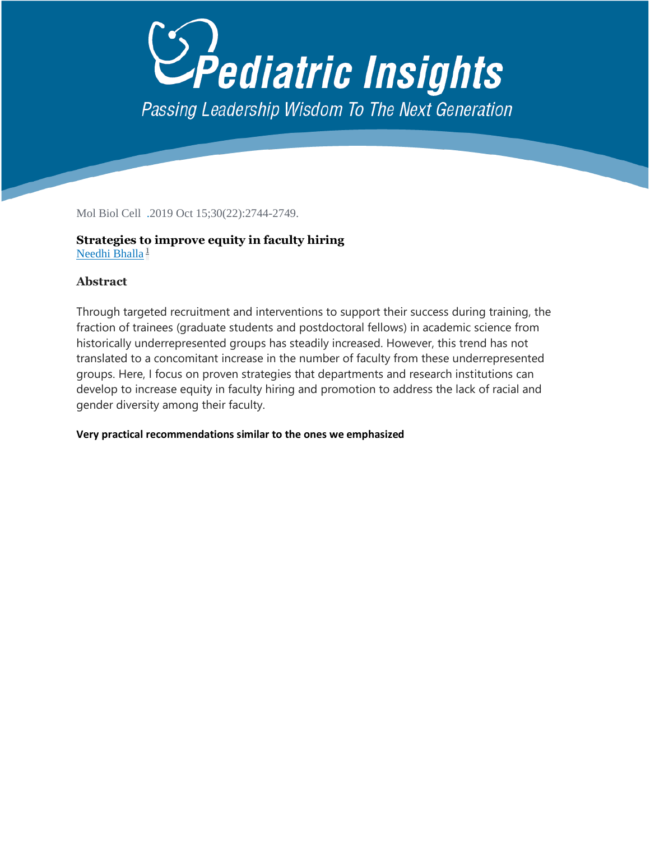# *Pediatric Insights* Passing Leadership Wisdom To The Next Generation

Mol Biol Cell .2019 Oct 15;30(22):2744-2749.

## **Strategies to improve equity in faculty hiring** [Needhi Bhalla](https://pubmed.ncbi.nlm.nih.gov/?term=Bhalla+N&cauthor_id=31609672)<sup>[1](https://pubmed.ncbi.nlm.nih.gov/31609672/#affiliation-1)</sup>

## **Abstract**

Through targeted recruitment and interventions to support their success during training, the fraction of trainees (graduate students and postdoctoral fellows) in academic science from historically underrepresented groups has steadily increased. However, this trend has not translated to a concomitant increase in the number of faculty from these underrepresented groups. Here, I focus on proven strategies that departments and research institutions can develop to increase equity in faculty hiring and promotion to address the lack of racial and gender diversity among their faculty.

## **Very practical recommendations similar to the ones we emphasized**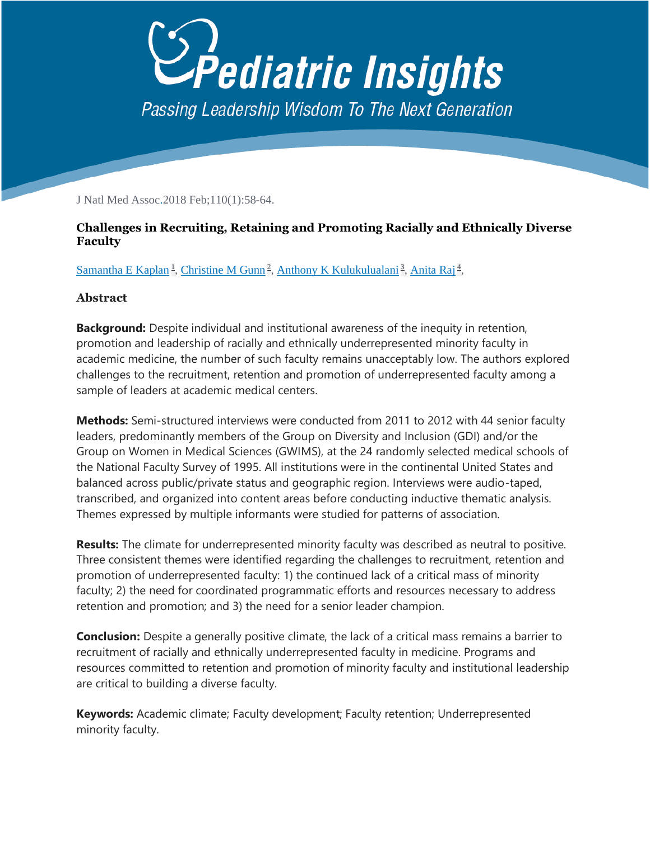

J Natl Med Assoc.2018 Feb;110(1):58-64.

## **Challenges in Recruiting, Retaining and Promoting Racially and Ethnically Diverse Faculty**

[Samantha E Kaplan](https://pubmed.ncbi.nlm.nih.gov/?term=Kaplan+SE&cauthor_id=29510845)<sup>[1](https://pubmed.ncbi.nlm.nih.gov/29510845/#affiliation-1)</sup>, [Christine M Gunn](https://pubmed.ncbi.nlm.nih.gov/?term=Gunn+CM&cauthor_id=29510845)<sup>2</sup>[,](https://pubmed.ncbi.nlm.nih.gov/29510845/#affiliation-4) [Anthony K Kulukulualani](https://pubmed.ncbi.nlm.nih.gov/?term=Kulukulualani+AK&cauthor_id=29510845)<sup>[3](https://pubmed.ncbi.nlm.nih.gov/29510845/#affiliation-3)</sup>, [Anita Raj](https://pubmed.ncbi.nlm.nih.gov/?term=Raj+A&cauthor_id=29510845)<sup>4</sup>,

## **Abstract**

**Background:** Despite individual and institutional awareness of the inequity in retention, promotion and leadership of racially and ethnically underrepresented minority faculty in academic medicine, the number of such faculty remains unacceptably low. The authors explored challenges to the recruitment, retention and promotion of underrepresented faculty among a sample of leaders at academic medical centers.

**Methods:** Semi-structured interviews were conducted from 2011 to 2012 with 44 senior faculty leaders, predominantly members of the Group on Diversity and Inclusion (GDI) and/or the Group on Women in Medical Sciences (GWIMS), at the 24 randomly selected medical schools of the National Faculty Survey of 1995. All institutions were in the continental United States and balanced across public/private status and geographic region. Interviews were audio-taped, transcribed, and organized into content areas before conducting inductive thematic analysis. Themes expressed by multiple informants were studied for patterns of association.

**Results:** The climate for underrepresented minority faculty was described as neutral to positive. Three consistent themes were identified regarding the challenges to recruitment, retention and promotion of underrepresented faculty: 1) the continued lack of a critical mass of minority faculty; 2) the need for coordinated programmatic efforts and resources necessary to address retention and promotion; and 3) the need for a senior leader champion.

**Conclusion:** Despite a generally positive climate, the lack of a critical mass remains a barrier to recruitment of racially and ethnically underrepresented faculty in medicine. Programs and resources committed to retention and promotion of minority faculty and institutional leadership are critical to building a diverse faculty.

**Keywords:** Academic climate; Faculty development; Faculty retention; Underrepresented minority faculty.